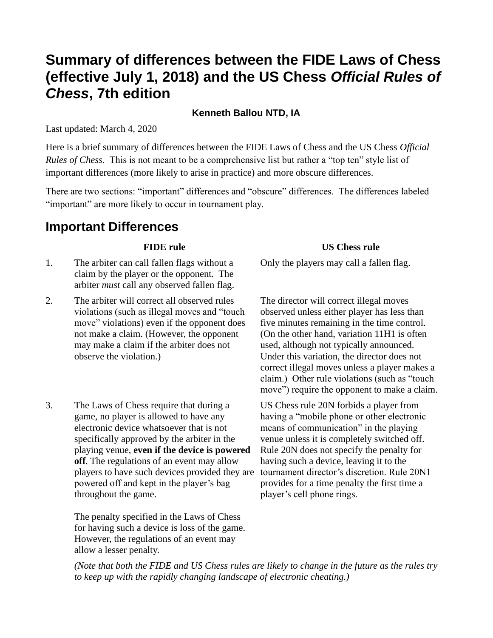# **Summary of differences between the FIDE Laws of Chess (effective July 1, 2018) and the US Chess** *Official Rules of Chess***, 7th edition**

### **Kenneth Ballou NTD, IA**

Last updated: March 4, 2020

Here is a brief summary of differences between the FIDE Laws of Chess and the US Chess *Official Rules of Chess*. This is not meant to be a comprehensive list but rather a "top ten" style list of important differences (more likely to arise in practice) and more obscure differences.

There are two sections: "important" differences and "obscure" differences. The differences labeled "important" are more likely to occur in tournament play.

## **Important Differences**

- 1. The arbiter can call fallen flags without a claim by the player or the opponent. The arbiter *must* call any observed fallen flag.
- 2. The arbiter will correct all observed rules violations (such as illegal moves and "touch move" violations) even if the opponent does not make a claim. (However, the opponent may make a claim if the arbiter does not observe the violation.)
- 3. The Laws of Chess require that during a game, no player is allowed to have any electronic device whatsoever that is not specifically approved by the arbiter in the playing venue, **even if the device is powered off**. The regulations of an event may allow players to have such devices provided they are powered off and kept in the player's bag throughout the game.

The penalty specified in the Laws of Chess for having such a device is loss of the game. However, the regulations of an event may allow a lesser penalty.

### **FIDE rule US Chess rule**

Only the players may call a fallen flag.

The director will correct illegal moves observed unless either player has less than five minutes remaining in the time control. (On the other hand, variation 11H1 is often used, although not typically announced. Under this variation, the director does not correct illegal moves unless a player makes a claim.) Other rule violations (such as "touch move") require the opponent to make a claim.

US Chess rule 20N forbids a player from having a "mobile phone or other electronic means of communication" in the playing venue unless it is completely switched off. Rule 20N does not specify the penalty for having such a device, leaving it to the tournament director's discretion. Rule 20N1 provides for a time penalty the first time a player's cell phone rings.

*(Note that both the FIDE and US Chess rules are likely to change in the future as the rules try to keep up with the rapidly changing landscape of electronic cheating.)*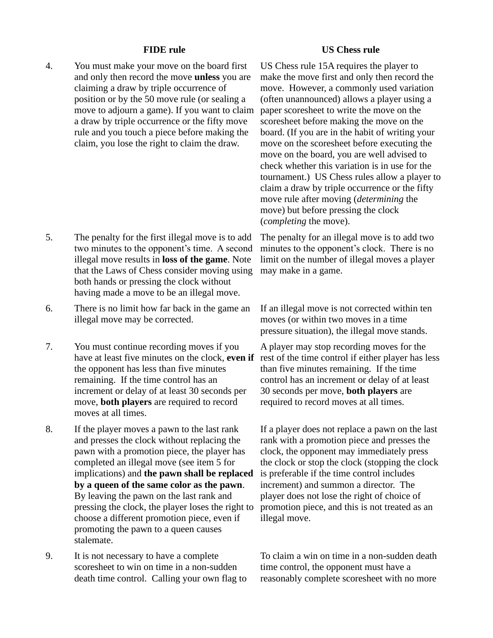4. You must make your move on the board first and only then record the move **unless** you are claiming a draw by triple occurrence of position or by the 50 move rule (or sealing a move to adjourn a game). If you want to claim a draw by triple occurrence or the fifty move rule and you touch a piece before making the claim, you lose the right to claim the draw.

- 5. The penalty for the first illegal move is to add two minutes to the opponent's time. A second illegal move results in **loss of the game**. Note that the Laws of Chess consider moving using both hands or pressing the clock without having made a move to be an illegal move.
- 6. There is no limit how far back in the game an illegal move may be corrected.
- 7. You must continue recording moves if you have at least five minutes on the clock, **even if** the opponent has less than five minutes remaining. If the time control has an increment or delay of at least 30 seconds per move, **both players** are required to record moves at all times.
- 8. If the player moves a pawn to the last rank and presses the clock without replacing the pawn with a promotion piece, the player has completed an illegal move (see item 5 for implications) and **the pawn shall be replaced by a queen of the same color as the pawn**. By leaving the pawn on the last rank and pressing the clock, the player loses the right to choose a different promotion piece, even if promoting the pawn to a queen causes stalemate.
- 9. It is not necessary to have a complete scoresheet to win on time in a non-sudden death time control. Calling your own flag to

### **FIDE rule US Chess rule**

US Chess rule 15A requires the player to make the move first and only then record the move. However, a commonly used variation (often unannounced) allows a player using a paper scoresheet to write the move on the scoresheet before making the move on the board. (If you are in the habit of writing your move on the scoresheet before executing the move on the board, you are well advised to check whether this variation is in use for the tournament.) US Chess rules allow a player to claim a draw by triple occurrence or the fifty move rule after moving (*determining* the move) but before pressing the clock (*completing* the move).

The penalty for an illegal move is to add two minutes to the opponent's clock. There is no limit on the number of illegal moves a player may make in a game.

If an illegal move is not corrected within ten moves (or within two moves in a time pressure situation), the illegal move stands.

A player may stop recording moves for the rest of the time control if either player has less than five minutes remaining. If the time control has an increment or delay of at least 30 seconds per move, **both players** are required to record moves at all times.

If a player does not replace a pawn on the last rank with a promotion piece and presses the clock, the opponent may immediately press the clock or stop the clock (stopping the clock is preferable if the time control includes increment) and summon a director. The player does not lose the right of choice of promotion piece, and this is not treated as an illegal move.

To claim a win on time in a non-sudden death time control, the opponent must have a reasonably complete scoresheet with no more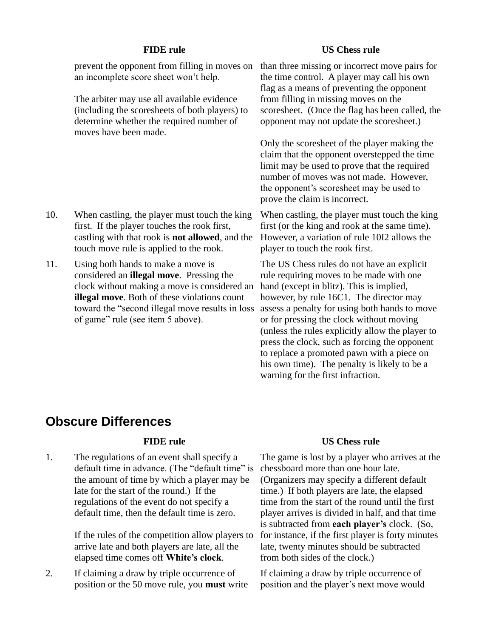prevent the opponent from filling in moves on than three missing or incorrect move pairs for an incomplete score sheet won't help.

The arbiter may use all available evidence (including the scoresheets of both players) to determine whether the required number of moves have been made.

- 10. When castling, the player must touch the king first. If the player touches the rook first, castling with that rook is **not allowed**, and the touch move rule is applied to the rook.
- 11. Using both hands to make a move is considered an **illegal move**. Pressing the clock without making a move is considered an **illegal move**. Both of these violations count toward the "second illegal move results in loss of game" rule (see item 5 above).

### **FIDE rule US Chess rule**

the time control. A player may call his own flag as a means of preventing the opponent from filling in missing moves on the scoresheet. (Once the flag has been called, the opponent may not update the scoresheet.)

Only the scoresheet of the player making the claim that the opponent overstepped the time limit may be used to prove that the required number of moves was not made. However, the opponent's scoresheet may be used to prove the claim is incorrect.

When castling, the player must touch the king first (or the king and rook at the same time). However, a variation of rule 10I2 allows the player to touch the rook first.

The US Chess rules do not have an explicit rule requiring moves to be made with one hand (except in blitz). This is implied, however, by rule 16C1. The director may assess a penalty for using both hands to move or for pressing the clock without moving (unless the rules explicitly allow the player to press the clock, such as forcing the opponent to replace a promoted pawn with a piece on his own time). The penalty is likely to be a warning for the first infraction.

## **Obscure Differences**

1. The regulations of an event shall specify a default time in advance. (The "default time" is the amount of time by which a player may be late for the start of the round.) If the regulations of the event do not specify a default time, then the default time is zero.

> If the rules of the competition allow players to arrive late and both players are late, all the elapsed time comes off **White's clock**.

2. If claiming a draw by triple occurrence of position or the 50 move rule, you **must** write

### **FIDE rule US Chess rule**

The game is lost by a player who arrives at the chessboard more than one hour late. (Organizers may specify a different default time.) If both players are late, the elapsed time from the start of the round until the first player arrives is divided in half, and that time is subtracted from **each player's** clock. (So, for instance, if the first player is forty minutes late, twenty minutes should be subtracted from both sides of the clock.)

If claiming a draw by triple occurrence of position and the player's next move would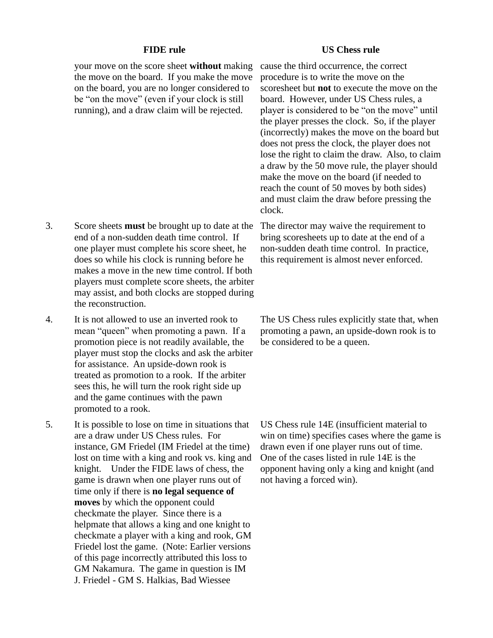your move on the score sheet **without** making the move on the board. If you make the move on the board, you are no longer considered to be "on the move" (even if your clock is still running), and a draw claim will be rejected.

- 3. Score sheets **must** be brought up to date at the The director may waive the requirement to end of a non-sudden death time control. If one player must complete his score sheet, he does so while his clock is running before he makes a move in the new time control. If both players must complete score sheets, the arbiter may assist, and both clocks are stopped during the reconstruction.
- 4. It is not allowed to use an inverted rook to mean "queen" when promoting a pawn. If a promotion piece is not readily available, the player must stop the clocks and ask the arbiter for assistance. An upside-down rook is treated as promotion to a rook. If the arbiter sees this, he will turn the rook right side up and the game continues with the pawn promoted to a rook.
- 5. It is possible to lose on time in situations that are a draw under US Chess rules. For instance, GM Friedel (IM Friedel at the time) lost on time with a king and rook vs. king and knight. Under the FIDE laws of chess, the game is drawn when one player runs out of time only if there is **no legal sequence of moves** by which the opponent could checkmate the player. Since there is a helpmate that allows a king and one knight to checkmate a player with a king and rook, GM Friedel lost the game. (Note: Earlier versions of this page incorrectly attributed this loss to GM Nakamura. The game in question is IM J. Friedel - GM S. Halkias, Bad Wiessee

### **FIDE rule US Chess rule**

cause the third occurrence, the correct procedure is to write the move on the scoresheet but **not** to execute the move on the board. However, under US Chess rules, a player is considered to be "on the move" until the player presses the clock. So, if the player (incorrectly) makes the move on the board but does not press the clock, the player does not lose the right to claim the draw. Also, to claim a draw by the 50 move rule, the player should make the move on the board (if needed to reach the count of 50 moves by both sides) and must claim the draw before pressing the clock.

bring scoresheets up to date at the end of a non-sudden death time control. In practice, this requirement is almost never enforced.

The US Chess rules explicitly state that, when promoting a pawn, an upside-down rook is to be considered to be a queen.

US Chess rule 14E (insufficient material to win on time) specifies cases where the game is drawn even if one player runs out of time. One of the cases listed in rule 14E is the opponent having only a king and knight (and not having a forced win).